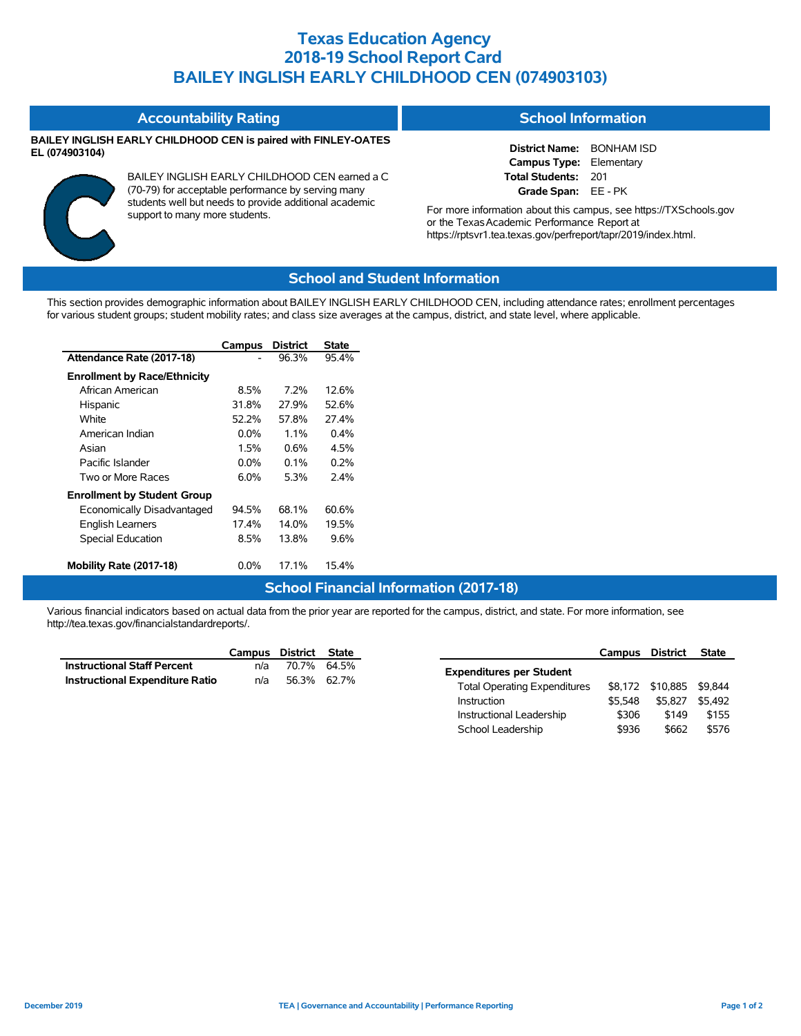# **Texas Education Agency 2018-19 School Report Card BAILEY INGLISH EARLY CHILDHOOD CEN (074903103)**

#### **Accountability Rating**

### **BAILEY INGLISH EARLY CHILDHOOD CEN is paired with FINLEY-OATES EL (074903104)**



BAILEY INGLISH EARLY CHILDHOOD CEN earned a C (70-79) for acceptable performance by serving many students well but needs to provide additional academic support to many more students.

### **School Information**

**District Name:** BONHAM ISD **Campus Type:** Elementary **Total Students:** 201 **Grade Span:** EE - PK

For more information about this campus, see https://TXSchools.gov or the Texas Academic Performance Report at https://rptsvr1.tea.texas.gov/perfreport/tapr/2019/index.html.

## **School and Student Information**

This section provides demographic information about BAILEY INGLISH EARLY CHILDHOOD CEN, including attendance rates; enrollment percentages for various student groups; student mobility rates; and class size averages at the campus, district, and state level, where applicable.

|                                     | Campus  | <b>District</b> | State                                         |
|-------------------------------------|---------|-----------------|-----------------------------------------------|
| Attendance Rate (2017-18)           |         | 96.3%           | 95.4%                                         |
| <b>Enrollment by Race/Ethnicity</b> |         |                 |                                               |
| African American                    | 8.5%    | $7.2\%$         | 12.6%                                         |
| Hispanic                            | 31.8%   | 27.9%           | 52.6%                                         |
| White                               | 52.2%   | 57.8%           | 27.4%                                         |
| American Indian                     | $0.0\%$ | $1.1\%$         | 0.4%                                          |
| Asian                               | 1.5%    | 0.6%            | 4.5%                                          |
| Pacific Islander                    | $0.0\%$ | $0.1\%$         | 0.2%                                          |
| Two or More Races                   | $6.0\%$ | 5.3%            | 2.4%                                          |
| <b>Enrollment by Student Group</b>  |         |                 |                                               |
| Economically Disadvantaged          | 94.5%   | 68.1%           | 60.6%                                         |
| English Learners                    | 17.4%   | 14.0%           | 19.5%                                         |
| Special Education                   | 8.5%    | 13.8%           | 9.6%                                          |
| Mobility Rate (2017-18)             | $0.0\%$ | 17.1%           | 15.4%                                         |
|                                     |         |                 | <b>School Financial Information (2017-18)</b> |

Various financial indicators based on actual data from the prior year are reported for the campus, district, and state. For more information, see http://tea.texas.gov/financialstandardreports/.

|                                        | Campus District State |             |  |
|----------------------------------------|-----------------------|-------------|--|
| <b>Instructional Staff Percent</b>     | n/a                   | 70.7% 64.5% |  |
| <b>Instructional Expenditure Ratio</b> | n/a                   | 56.3% 62.7% |  |

|                                     | Campus  | District         | <b>State</b> |
|-------------------------------------|---------|------------------|--------------|
| <b>Expenditures per Student</b>     |         |                  |              |
| <b>Total Operating Expenditures</b> |         | \$8.172 \$10.885 | \$9.844      |
| Instruction                         | \$5.548 | \$5.827          | \$5.492      |
| Instructional Leadership            | \$306   | \$149            | \$155        |
| School Leadership                   | \$936   | \$662            | \$576        |